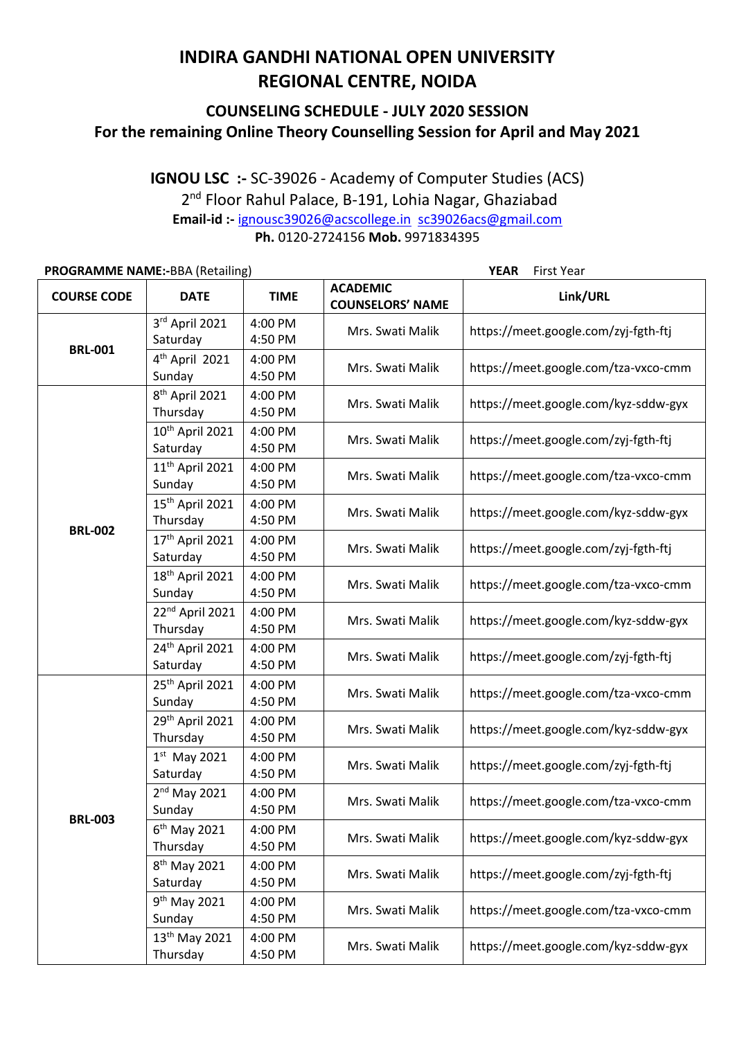# **INDIRA GANDHI NATIONAL OPEN UNIVERSITY REGIONAL CENTRE, NOIDA**

### **COUNSELING SCHEDULE - JULY 2020 SESSION For the remaining Online Theory Counselling Session for April and May 2021**

#### **IGNOU LSC :-** SC-39026 - Academy of Computer Studies (ACS) 2<sup>nd</sup> Floor Rahul Palace, B-191, Lohia Nagar, Ghaziabad **Email-id :-** [ignousc39026@acscollege.in](mailto:ignousc39026@acscollege.in) [sc39026acs@gmail.com](mailto:sc39026acs@gmail.com) **Ph.** 0120-2724156 **Mob.** 9971834395

| <b>PROGRAMME NAME:-BBA (Retailing)</b> |                                         |                    | <b>YEAR</b><br>First Year                  |                                      |  |
|----------------------------------------|-----------------------------------------|--------------------|--------------------------------------------|--------------------------------------|--|
| <b>COURSE CODE</b>                     | <b>DATE</b>                             | <b>TIME</b>        | <b>ACADEMIC</b><br><b>COUNSELORS' NAME</b> | Link/URL                             |  |
| <b>BRL-001</b>                         | 3rd April 2021<br>Saturday              | 4:00 PM<br>4:50 PM | Mrs. Swati Malik                           | https://meet.google.com/zyj-fgth-ftj |  |
|                                        | 4 <sup>th</sup> April 2021<br>Sunday    | 4:00 PM<br>4:50 PM | Mrs. Swati Malik                           | https://meet.google.com/tza-vxco-cmm |  |
|                                        | 8 <sup>th</sup> April 2021<br>Thursday  | 4:00 PM<br>4:50 PM | Mrs. Swati Malik                           | https://meet.google.com/kyz-sddw-gyx |  |
|                                        | 10th April 2021<br>Saturday             | 4:00 PM<br>4:50 PM | Mrs. Swati Malik                           | https://meet.google.com/zyj-fgth-ftj |  |
|                                        | 11 <sup>th</sup> April 2021<br>Sunday   | 4:00 PM<br>4:50 PM | Mrs. Swati Malik                           | https://meet.google.com/tza-vxco-cmm |  |
|                                        | 15th April 2021<br>Thursday             | 4:00 PM<br>4:50 PM | Mrs. Swati Malik                           | https://meet.google.com/kyz-sddw-gyx |  |
| <b>BRL-002</b>                         | 17th April 2021<br>Saturday             | 4:00 PM<br>4:50 PM | Mrs. Swati Malik                           | https://meet.google.com/zyj-fgth-ftj |  |
|                                        | 18th April 2021<br>Sunday               | 4:00 PM<br>4:50 PM | Mrs. Swati Malik                           | https://meet.google.com/tza-vxco-cmm |  |
|                                        | 22 <sup>nd</sup> April 2021<br>Thursday | 4:00 PM<br>4:50 PM | Mrs. Swati Malik                           | https://meet.google.com/kyz-sddw-gyx |  |
|                                        | 24 <sup>th</sup> April 2021<br>Saturday | 4:00 PM<br>4:50 PM | Mrs. Swati Malik                           | https://meet.google.com/zyj-fgth-ftj |  |
| <b>BRL-003</b>                         | 25 <sup>th</sup> April 2021<br>Sunday   | 4:00 PM<br>4:50 PM | Mrs. Swati Malik                           | https://meet.google.com/tza-vxco-cmm |  |
|                                        | 29th April 2021<br>Thursday             | 4:00 PM<br>4:50 PM | Mrs. Swati Malik                           | https://meet.google.com/kyz-sddw-gyx |  |
|                                        | $1st$ May 2021<br>Saturday              | 4:00 PM<br>4:50 PM | Mrs. Swati Malik                           | https://meet.google.com/zyj-fgth-ftj |  |
|                                        | $2nd$ May 2021<br>Sunday                | 4:00 PM<br>4:50 PM | Mrs. Swati Malik                           | https://meet.google.com/tza-vxco-cmm |  |
|                                        | $6th$ May 2021<br>Thursday              | 4:00 PM<br>4:50 PM | Mrs. Swati Malik                           | https://meet.google.com/kyz-sddw-gyx |  |
|                                        | 8 <sup>th</sup> May 2021<br>Saturday    | 4:00 PM<br>4:50 PM | Mrs. Swati Malik                           | https://meet.google.com/zyj-fgth-ftj |  |
|                                        | 9 <sup>th</sup> May 2021<br>Sunday      | 4:00 PM<br>4:50 PM | Mrs. Swati Malik                           | https://meet.google.com/tza-vxco-cmm |  |
|                                        | 13 <sup>th</sup> May 2021<br>Thursday   | 4:00 PM<br>4:50 PM | Mrs. Swati Malik                           | https://meet.google.com/kyz-sddw-gyx |  |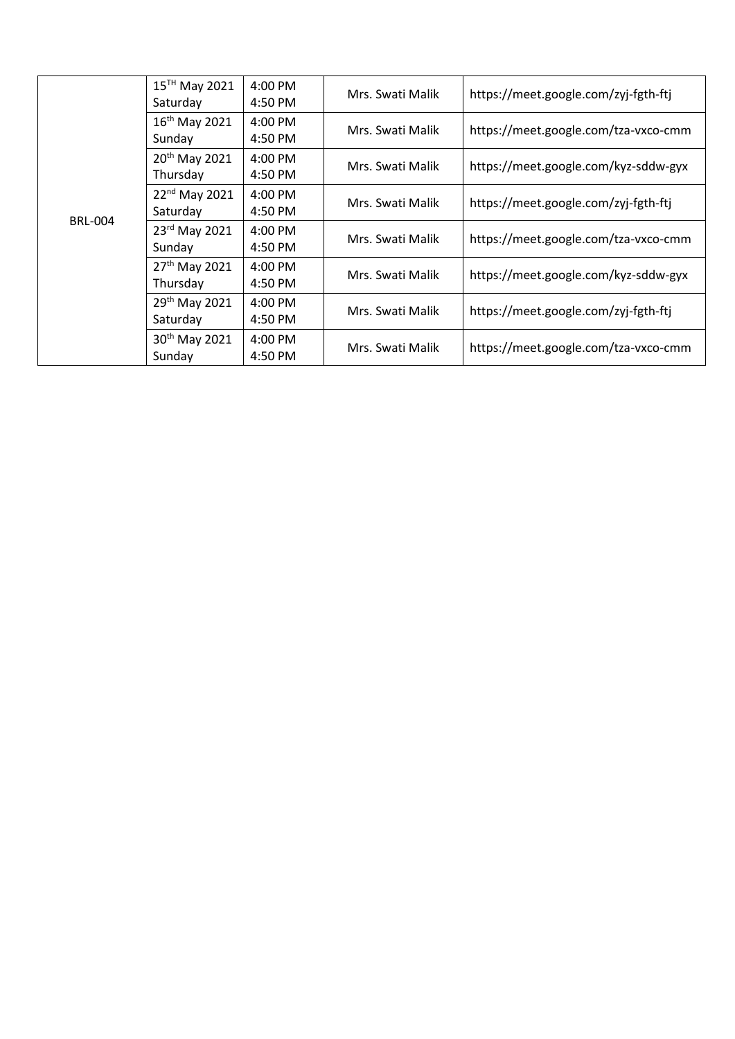| <b>BRL-004</b> | 15 <sup>TH</sup> May 2021<br>Saturday | 4:00 PM<br>4:50 PM | Mrs. Swati Malik | https://meet.google.com/zyj-fgth-ftj |
|----------------|---------------------------------------|--------------------|------------------|--------------------------------------|
|                | $16^{th}$ May 2021<br>Sunday          | 4:00 PM<br>4:50 PM | Mrs. Swati Malik | https://meet.google.com/tza-vxco-cmm |
|                | 20 <sup>th</sup> May 2021<br>Thursday | 4:00 PM<br>4:50 PM | Mrs. Swati Malik | https://meet.google.com/kyz-sddw-gyx |
|                | 22 <sup>nd</sup> May 2021<br>Saturday | 4:00 PM<br>4:50 PM | Mrs. Swati Malik | https://meet.google.com/zyj-fgth-ftj |
|                | 23rd May 2021<br>Sunday               | 4:00 PM<br>4:50 PM | Mrs. Swati Malik | https://meet.google.com/tza-vxco-cmm |
|                | 27 <sup>th</sup> May 2021<br>Thursday | 4:00 PM<br>4:50 PM | Mrs. Swati Malik | https://meet.google.com/kyz-sddw-gyx |
|                | 29 <sup>th</sup> May 2021<br>Saturday | 4:00 PM<br>4:50 PM | Mrs. Swati Malik | https://meet.google.com/zyj-fgth-ftj |
|                | 30 <sup>th</sup> May 2021<br>Sunday   | 4:00 PM<br>4:50 PM | Mrs. Swati Malik | https://meet.google.com/tza-vxco-cmm |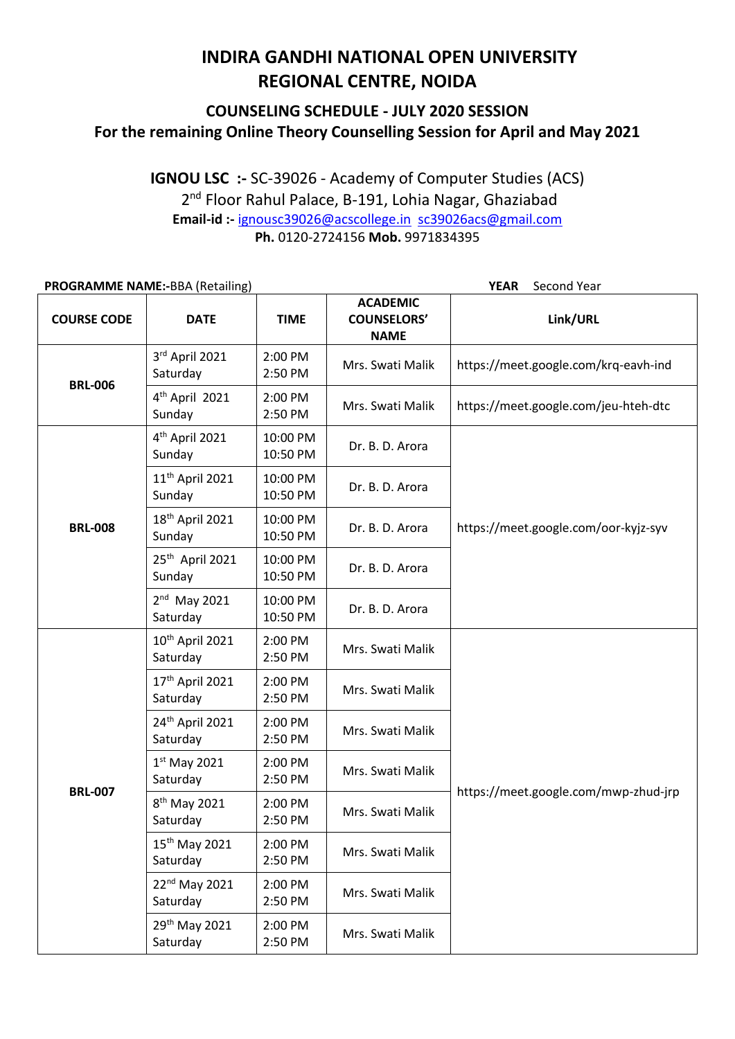## **INDIRA GANDHI NATIONAL OPEN UNIVERSITY REGIONAL CENTRE, NOIDA**

### **COUNSELING SCHEDULE - JULY 2020 SESSION For the remaining Online Theory Counselling Session for April and May 2021**

**IGNOU LSC :-** SC-39026 - Academy of Computer Studies (ACS) 2<sup>nd</sup> Floor Rahul Palace, B-191, Lohia Nagar, Ghaziabad **Email-id :-** [ignousc39026@acscollege.in](mailto:ignousc39026@acscollege.in) [sc39026acs@gmail.com](mailto:sc39026acs@gmail.com) **Ph.** 0120-2724156 **Mob.** 9971834395

| <b>PROGRAMME NAME:-BBA (Retailing)</b> |                                         |                      | Second Year<br><b>YEAR</b>                           |                                      |  |
|----------------------------------------|-----------------------------------------|----------------------|------------------------------------------------------|--------------------------------------|--|
| <b>COURSE CODE</b>                     | <b>DATE</b>                             | <b>TIME</b>          | <b>ACADEMIC</b><br><b>COUNSELORS'</b><br><b>NAME</b> | Link/URL                             |  |
| <b>BRL-006</b>                         | 3rd April 2021<br>Saturday              | 2:00 PM<br>2:50 PM   | Mrs. Swati Malik                                     | https://meet.google.com/krq-eavh-ind |  |
|                                        | 4 <sup>th</sup> April 2021<br>Sunday    | 2:00 PM<br>2:50 PM   | Mrs. Swati Malik                                     | https://meet.google.com/jeu-hteh-dtc |  |
|                                        | 4 <sup>th</sup> April 2021<br>Sunday    | 10:00 PM<br>10:50 PM | Dr. B. D. Arora                                      |                                      |  |
|                                        | 11 <sup>th</sup> April 2021<br>Sunday   | 10:00 PM<br>10:50 PM | Dr. B. D. Arora                                      |                                      |  |
| <b>BRL-008</b>                         | 18 <sup>th</sup> April 2021<br>Sunday   | 10:00 PM<br>10:50 PM | Dr. B. D. Arora                                      | https://meet.google.com/oor-kyjz-syv |  |
|                                        | 25 <sup>th</sup> April 2021<br>Sunday   | 10:00 PM<br>10:50 PM | Dr. B. D. Arora                                      |                                      |  |
|                                        | $2nd$ May 2021<br>Saturday              | 10:00 PM<br>10:50 PM | Dr. B. D. Arora                                      |                                      |  |
|                                        | 10 <sup>th</sup> April 2021<br>Saturday | 2:00 PM<br>2:50 PM   | Mrs. Swati Malik                                     |                                      |  |
|                                        | 17th April 2021<br>Saturday             | 2:00 PM<br>2:50 PM   | Mrs. Swati Malik                                     |                                      |  |
|                                        | 24th April 2021<br>Saturday             | 2:00 PM<br>2:50 PM   | Mrs. Swati Malik                                     |                                      |  |
|                                        | $1st$ May 2021<br>Saturday              | 2:00 PM<br>2:50 PM   | Mrs. Swati Malik                                     |                                      |  |
| <b>BRL-007</b>                         | 8 <sup>th</sup> May 2021<br>Saturday    | 2:00 PM<br>2:50 PM   | Mrs. Swati Malik                                     | https://meet.google.com/mwp-zhud-jrp |  |
|                                        | 15 <sup>th</sup> May 2021<br>Saturday   | 2:00 PM<br>2:50 PM   | Mrs. Swati Malik                                     |                                      |  |
|                                        | 22 <sup>nd</sup> May 2021<br>Saturday   | 2:00 PM<br>2:50 PM   | Mrs. Swati Malik                                     |                                      |  |
|                                        | 29 <sup>th</sup> May 2021<br>Saturday   | 2:00 PM<br>2:50 PM   | Mrs. Swati Malik                                     |                                      |  |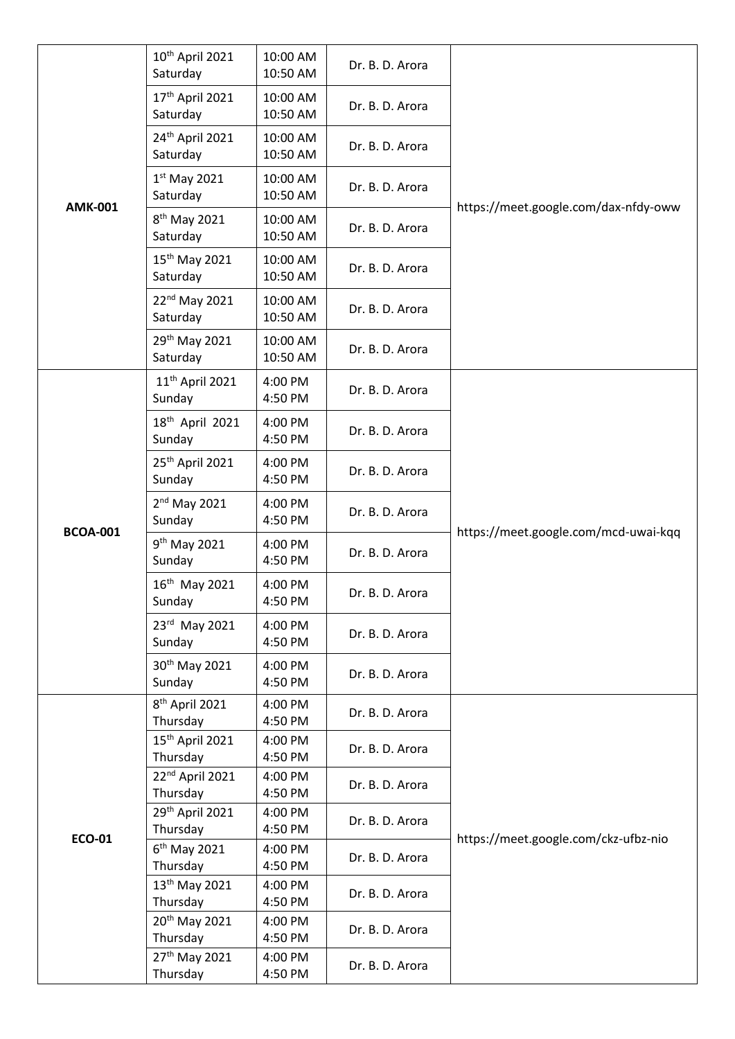| <b>AMK-001</b>  | 10 <sup>th</sup> April 2021<br>Saturday | 10:00 AM<br>10:50 AM | Dr. B. D. Arora |                                      |
|-----------------|-----------------------------------------|----------------------|-----------------|--------------------------------------|
|                 | 17 <sup>th</sup> April 2021<br>Saturday | 10:00 AM<br>10:50 AM | Dr. B. D. Arora |                                      |
|                 | 24th April 2021<br>Saturday             | 10:00 AM<br>10:50 AM | Dr. B. D. Arora |                                      |
|                 | $1st$ May 2021<br>Saturday              | 10:00 AM<br>10:50 AM | Dr. B. D. Arora | https://meet.google.com/dax-nfdy-oww |
|                 | 8 <sup>th</sup> May 2021<br>Saturday    | 10:00 AM<br>10:50 AM | Dr. B. D. Arora |                                      |
|                 | 15 <sup>th</sup> May 2021<br>Saturday   | 10:00 AM<br>10:50 AM | Dr. B. D. Arora |                                      |
|                 | 22 <sup>nd</sup> May 2021<br>Saturday   | 10:00 AM<br>10:50 AM | Dr. B. D. Arora |                                      |
|                 | 29 <sup>th</sup> May 2021<br>Saturday   | 10:00 AM<br>10:50 AM | Dr. B. D. Arora |                                      |
|                 | 11 <sup>th</sup> April 2021<br>Sunday   | 4:00 PM<br>4:50 PM   | Dr. B. D. Arora |                                      |
| <b>BCOA-001</b> | 18 <sup>th</sup> April 2021<br>Sunday   | 4:00 PM<br>4:50 PM   | Dr. B. D. Arora |                                      |
|                 | 25 <sup>th</sup> April 2021<br>Sunday   | 4:00 PM<br>4:50 PM   | Dr. B. D. Arora |                                      |
|                 | $2nd$ May 2021<br>Sunday                | 4:00 PM<br>4:50 PM   | Dr. B. D. Arora |                                      |
|                 | 9 <sup>th</sup> May 2021<br>Sunday      | 4:00 PM<br>4:50 PM   | Dr. B. D. Arora | https://meet.google.com/mcd-uwai-kqq |
|                 | 16 <sup>th</sup> May 2021<br>Sunday     | 4:00 PM<br>4:50 PM   | Dr. B. D. Arora |                                      |
|                 | 23rd May 2021<br>Sunday                 | 4:00 PM<br>4:50 PM   | Dr. B. D. Arora |                                      |
|                 | 30 <sup>th</sup> May 2021<br>Sunday     | 4:00 PM<br>4:50 PM   | Dr. B. D. Arora |                                      |
| <b>ECO-01</b>   | 8 <sup>th</sup> April 2021<br>Thursday  | 4:00 PM<br>4:50 PM   | Dr. B. D. Arora |                                      |
|                 | 15 <sup>th</sup> April 2021<br>Thursday | 4:00 PM<br>4:50 PM   | Dr. B. D. Arora |                                      |
|                 | 22 <sup>nd</sup> April 2021<br>Thursday | 4:00 PM<br>4:50 PM   | Dr. B. D. Arora |                                      |
|                 | 29th April 2021<br>Thursday             | 4:00 PM<br>4:50 PM   | Dr. B. D. Arora |                                      |
|                 | $6th$ May 2021                          | 4:00 PM              | Dr. B. D. Arora | https://meet.google.com/ckz-ufbz-nio |
|                 | Thursday                                | 4:50 PM              |                 |                                      |
|                 | 13 <sup>th</sup> May 2021               | 4:00 PM              | Dr. B. D. Arora |                                      |
|                 | Thursday                                | 4:50 PM              |                 |                                      |
|                 | 20 <sup>th</sup> May 2021<br>Thursday   | 4:00 PM<br>4:50 PM   | Dr. B. D. Arora |                                      |
|                 | 27th May 2021<br>Thursday               | 4:00 PM<br>4:50 PM   | Dr. B. D. Arora |                                      |